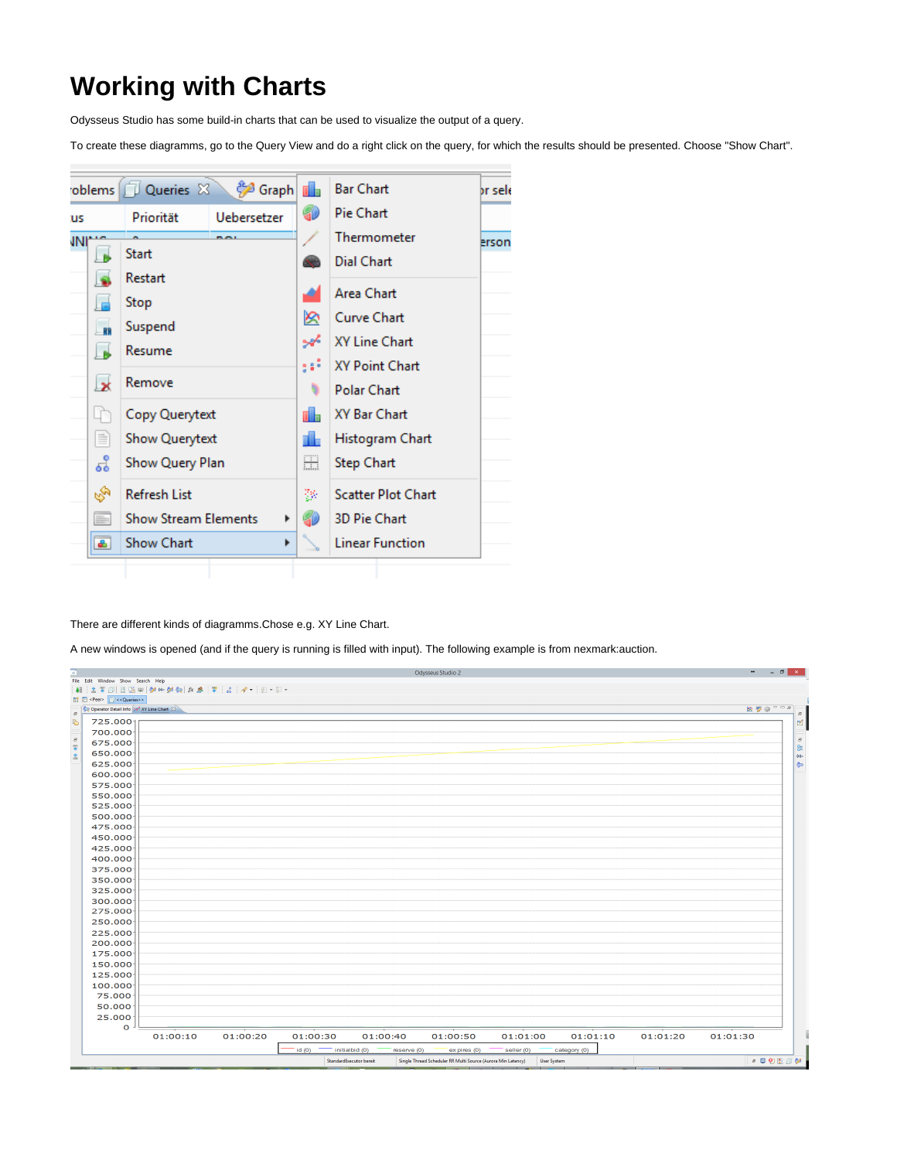## **Working with Charts**

Odysseus Studio has some build-in charts that can be used to visualize the output of a query.

To create these diagramms, go to the Query View and do a right click on the query, for which the results should be presented. Choose "Show Chart".



There are different kinds of diagramms.Chose e.g. XY Line Chart.

A new windows is opened (and if the query is running is filled with input). The following example is from nexmark:auction.

| 两                                                            |          |          |          |                               | Odysseus Studio 2                                            |                    |              |          | $\begin{array}{ccccc}\n\bullet & & - & \circ & \circ & \times\n\end{array}$ |
|--------------------------------------------------------------|----------|----------|----------|-------------------------------|--------------------------------------------------------------|--------------------|--------------|----------|-----------------------------------------------------------------------------|
| File Edit Window Show Search Help                            |          |          |          |                               |                                                              |                    |              |          |                                                                             |
| $\Box$ <peer><math>\Box</math><queries>&gt;</queries></peer> |          |          |          |                               |                                                              |                    |              |          |                                                                             |
| Operator Detail Info   set XY Line Chart 23                  |          |          |          |                               |                                                              |                    |              |          | 図要のマータ                                                                      |
| $\theta$                                                     |          |          |          |                               |                                                              |                    |              |          | $\vec{\sigma}$                                                              |
| B<br>725.0001                                                |          |          |          |                               |                                                              |                    |              |          | $\mathbb R$                                                                 |
| 700.000                                                      |          |          |          |                               |                                                              |                    |              |          |                                                                             |
| $\rightarrow$ 0 $\rightarrow$ 10 $\rightarrow$<br>675.000    |          |          |          |                               |                                                              |                    |              |          |                                                                             |
| 650.000                                                      |          |          |          |                               |                                                              |                    |              |          | $\sim$ de $\geq$                                                            |
| 625.000                                                      |          |          |          |                               |                                                              |                    |              |          |                                                                             |
| 600.000                                                      |          |          |          |                               |                                                              |                    |              |          |                                                                             |
| 575.000                                                      |          |          |          |                               |                                                              |                    |              |          |                                                                             |
| 550.000                                                      |          |          |          |                               |                                                              |                    |              |          |                                                                             |
| 525.000                                                      |          |          |          |                               |                                                              |                    |              |          |                                                                             |
| 500.000                                                      |          |          |          |                               |                                                              |                    |              |          |                                                                             |
| 475.000                                                      |          |          |          |                               |                                                              |                    |              |          |                                                                             |
| 450.000                                                      |          |          |          |                               |                                                              |                    |              |          |                                                                             |
| 425.000                                                      |          |          |          |                               |                                                              |                    |              |          |                                                                             |
| 400.000                                                      |          |          |          |                               |                                                              |                    |              |          |                                                                             |
| 375.000                                                      |          |          |          |                               |                                                              |                    |              |          |                                                                             |
| 350.000                                                      |          |          |          |                               |                                                              |                    |              |          |                                                                             |
| 325.000                                                      |          |          |          |                               |                                                              |                    |              |          |                                                                             |
| 300.000                                                      |          |          |          |                               |                                                              |                    |              |          |                                                                             |
| 275.000                                                      |          |          |          |                               |                                                              |                    |              |          |                                                                             |
| 250.000                                                      |          |          |          |                               |                                                              |                    |              |          |                                                                             |
| 225.000                                                      |          |          |          |                               |                                                              |                    |              |          |                                                                             |
| 200.000                                                      |          |          |          |                               |                                                              |                    |              |          |                                                                             |
| 175.000                                                      |          |          |          |                               |                                                              |                    |              |          |                                                                             |
| 150.000                                                      |          |          |          |                               |                                                              |                    |              |          |                                                                             |
| 125.000                                                      |          |          |          |                               |                                                              |                    |              |          |                                                                             |
| 100.000                                                      |          |          |          |                               |                                                              |                    |              |          |                                                                             |
| 75.000                                                       |          |          |          |                               |                                                              |                    |              |          |                                                                             |
| 50.000                                                       |          |          |          |                               |                                                              |                    |              |          |                                                                             |
| 25.000                                                       |          |          |          |                               |                                                              |                    |              |          |                                                                             |
| $\circ$                                                      | 01:00:10 | 01:00:20 | 01:00:30 | 01:00:40                      | 01:00:50                                                     | 01:01:00           | 01:01:10     | 01:01:20 | 01:01:30                                                                    |
|                                                              |          |          | id(0)    | initialbid (0)<br>reserve (0) | ex pires (0)                                                 | seller (0)         | category (0) |          |                                                                             |
|                                                              |          |          |          | StandardExecutor bereit       | Single Thread Scheduler RR Multi Source (Aurora Min Latency) | <b>User System</b> |              |          | $-100009$                                                                   |
|                                                              |          |          |          |                               |                                                              |                    |              |          |                                                                             |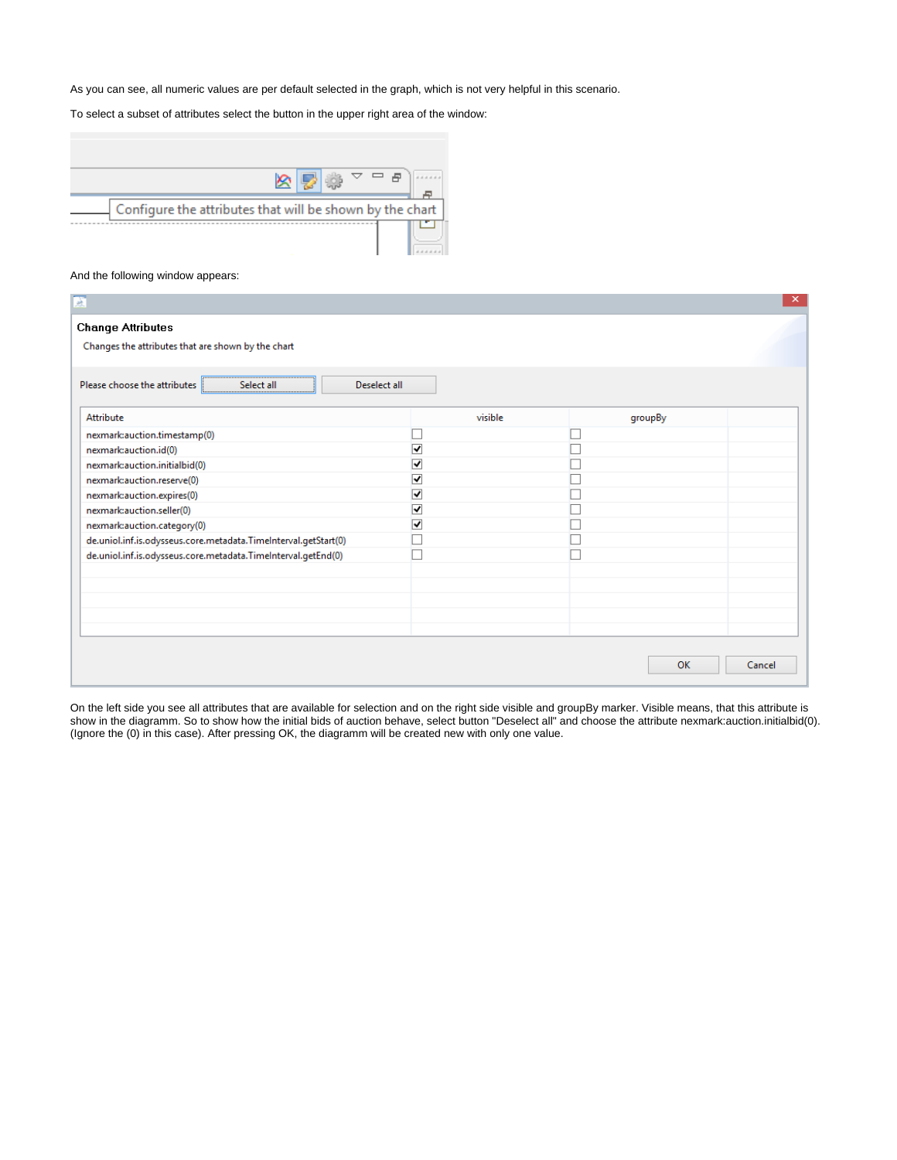As you can see, all numeric values are per default selected in the graph, which is not very helpful in this scenario.

To select a subset of attributes select the button in the upper right area of the window:

| Configure the attributes that will be shown by the chart |  |  |  |
|----------------------------------------------------------|--|--|--|
|                                                          |  |  |  |

## And the following window appears:

| 颪                                                               |                         |         | ×      |
|-----------------------------------------------------------------|-------------------------|---------|--------|
| <b>Change Attributes</b>                                        |                         |         |        |
| Changes the attributes that are shown by the chart              |                         |         |        |
| Please choose the attributes<br>Select all<br>Deselect all      |                         |         |        |
| Attribute                                                       | visible                 | groupBy |        |
| nexmark:auction.timestamp(0)                                    |                         |         |        |
| nexmark:auction.id(0)                                           | ⊽                       |         |        |
| nexmark:auction.initialbid(0)                                   | $\overline{\mathbf{v}}$ |         |        |
| nexmark:auction.reserve(0)                                      | $\overline{\mathbf{v}}$ |         |        |
| nexmark:auction.expires(0)                                      | $\overline{\mathbf{v}}$ |         |        |
| nexmark:auction.seller(0)                                       | $\overline{\mathbf{v}}$ |         |        |
| nexmark:auction.category(0)                                     | $\overline{\mathbf{v}}$ |         |        |
| de.uniol.inf.is.odysseus.core.metadata.TimeInterval.getStart(0) |                         |         |        |
| de.uniol.inf.is.odysseus.core.metadata.TimeInterval.getEnd(0)   |                         |         |        |
|                                                                 |                         |         |        |
|                                                                 |                         |         |        |
|                                                                 |                         |         |        |
|                                                                 |                         |         |        |
|                                                                 |                         |         |        |
|                                                                 |                         | OK      | Cancel |

On the left side you see all attributes that are available for selection and on the right side visible and groupBy marker. Visible means, that this attribute is show in the diagramm. So to show how the initial bids of auction behave, select button "Deselect all" and choose the attribute nexmark:auction.initialbid(0). (Ignore the (0) in this case). After pressing OK, the diagramm will be created new with only one value.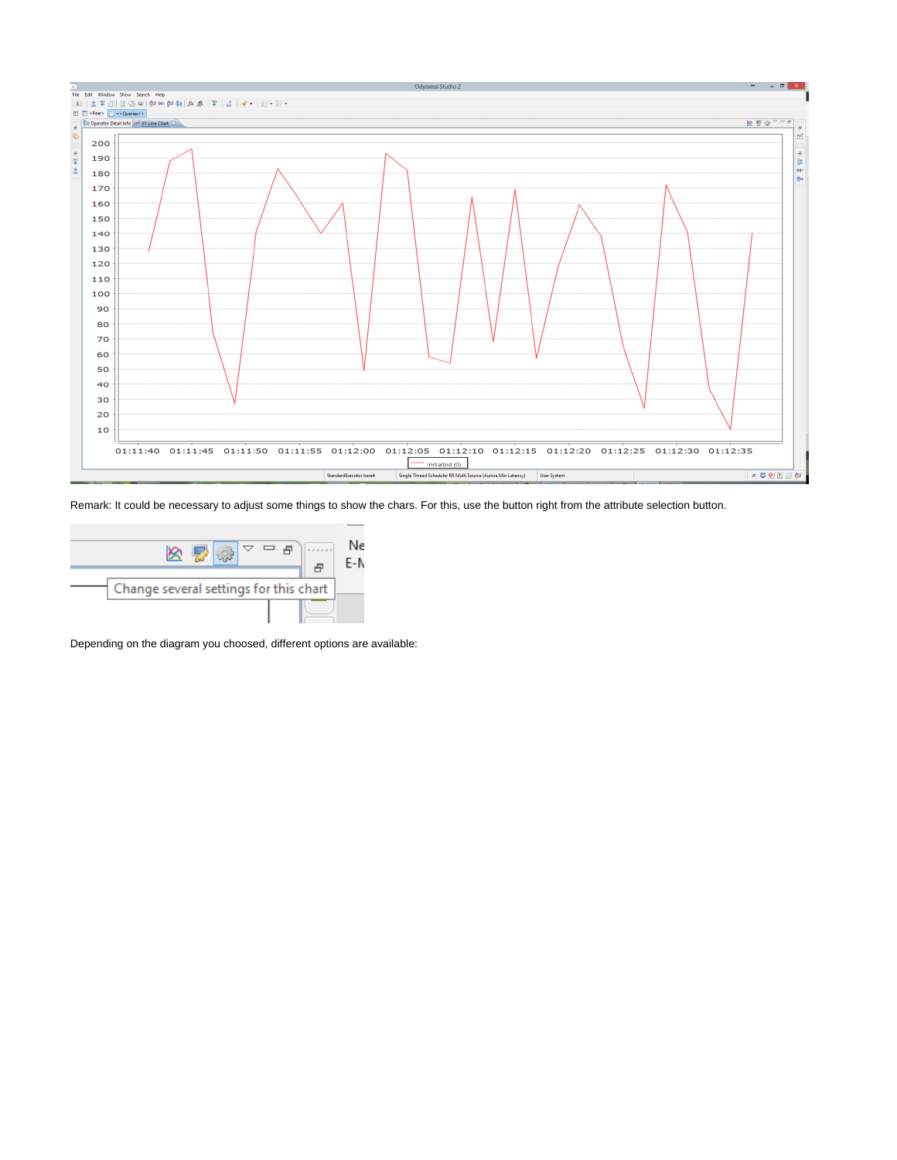

Remark: It could be necessary to adjust some things to show the chars. For this, use the button right from the attribute selection button.



Depending on the diagram you choosed, different options are available: